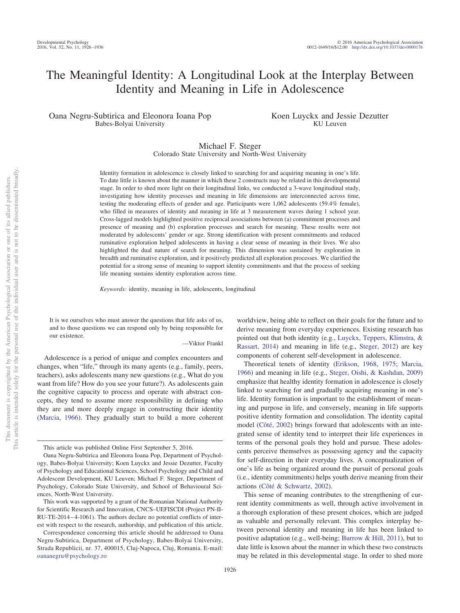# The Meaningful Identity: A Longitudinal Look at the Interplay Between Identity and Meaning in Life in Adolescence

Oana Negru-Subtirica and Eleonora Ioana Pop Babes-Bolyai University

Koen Luyckx and Jessie Dezutter KU Leuven

# Michael F. Steger Colorado State University and North-West University

Identity formation in adolescence is closely linked to searching for and acquiring meaning in one's life. To date little is known about the manner in which these 2 constructs may be related in this developmental stage. In order to shed more light on their longitudinal links, we conducted a 3-wave longitudinal study, investigating how identity processes and meaning in life dimensions are interconnected across time, testing the moderating effects of gender and age. Participants were 1,062 adolescents (59.4% female), who filled in measures of identity and meaning in life at 3 measurement waves during 1 school year. Cross-lagged models highlighted positive reciprocal associations between (a) commitment processes and presence of meaning and (b) exploration processes and search for meaning. These results were not moderated by adolescents' gender or age. Strong identification with present commitments and reduced ruminative exploration helped adolescents in having a clear sense of meaning in their lives. We also highlighted the dual nature of search for meaning. This dimension was sustained by exploration in breadth and ruminative exploration, and it positively predicted all exploration processes. We clarified the potential for a strong sense of meaning to support identity commitments and that the process of seeking life meaning sustains identity exploration across time.

*Keywords:* identity, meaning in life, adolescents, longitudinal

It is we ourselves who must answer the questions that life asks of us, and to those questions we can respond only by being responsible for our existence.

—Viktor Frankl

Adolescence is a period of unique and complex encounters and changes, when "life," through its many agents (e.g., family, peers, teachers), asks adolescents many new questions (e.g., What do you want from life? How do you see your future?). As adolescents gain the cognitive capacity to process and operate with abstract concepts, they tend to assume more responsibility in defining who they are and more deeply engage in constructing their identity (Marcia, 1966). They gradually start to build a more coherent

This article was published Online First September 5, 2016.

worldview, being able to reflect on their goals for the future and to derive meaning from everyday experiences. Existing research has pointed out that both identity (e.g., Luyckx, Teppers, Klimstra, & Rassart, 2014) and meaning in life (e.g., Steger, 2012) are key components of coherent self-development in adolescence.

Theoretical tenets of identity (Erikson, 1968, 1975; Marcia, 1966) and meaning in life (e.g., Steger, Oishi, & Kashdan, 2009) emphasize that healthy identity formation in adolescence is closely linked to searching for and gradually acquiring meaning in one's life. Identity formation is important to the establishment of meaning and purpose in life, and conversely, meaning in life supports positive identity formation and consolidation. The identity capital model (Côté, 2002) brings forward that adolescents with an integrated sense of identity tend to interpret their life experiences in terms of the personal goals they hold and pursue. These adolescents perceive themselves as possessing agency and the capacity for self-direction in their everyday lives. A conceptualization of one's life as being organized around the pursuit of personal goals (i.e., identity commitments) helps youth derive meaning from their actions (Côté & Schwartz, 2002).

This sense of meaning contributes to the strengthening of current identity commitments as well, through active involvement in a thorough exploration of these present choices, which are judged as valuable and personally relevant. This complex interplay between personal identity and meaning in life has been linked to positive adaptation (e.g., well-being; Burrow & Hill, 2011), but to date little is known about the manner in which these two constructs may be related in this developmental stage. In order to shed more

Oana Negru-Subtirica and Eleonora Ioana Pop, Department of Psychology, Babes-Bolyai University; Koen Luyckx and Jessie Dezutter, Faculty of Psychology and Educational Sciences, School Psychology and Child and Adolescent Development, KU Leuven; Michael F. Steger, Department of Psychology, Colorado State University, and School of Behavioural Sciences, North-West University.

This work was supported by a grant of the Romanian National Authority for Scientific Research and Innovation, CNCS–UEFISCDI (Project PN-II-RU-TE-2014–4-1061). The authors declare no potential conflicts of interest with respect to the research, authorship, and publication of this article.

Correspondence concerning this article should be addressed to Oana Negru-Subtirica, Department of Psychology, Babes-Bolyai University, Strada Republicii, nr. 37, 400015, Cluj-Napoca, Cluj, Romania. E-mail: [oananegru@psychology.ro](mailto:oananegru@psychology.ro)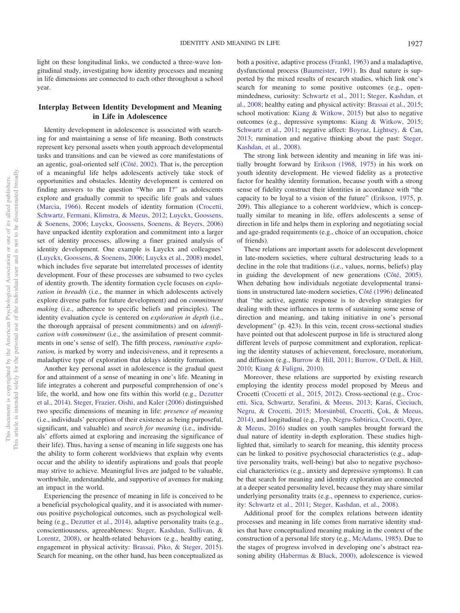light on these longitudinal links, we conducted a three-wave longitudinal study, investigating how identity processes and meaning in life dimensions are connected to each other throughout a school year.

# **Interplay Between Identity Development and Meaning in Life in Adolescence**

Identity development in adolescence is associated with searching for and maintaining a sense of life meaning. Both constructs represent key personal assets when youth approach developmental tasks and transitions and can be viewed as core manifestations of an agentic, goal-oriented self (Côté, 2002). That is, the perception of a meaningful life helps adolescents actively take stock of opportunities and obstacles. Identity development is centered on finding answers to the question "Who am I?" as adolescents explore and gradually commit to specific life goals and values (Marcia, 1966). Recent models of identity formation (Crocetti, Schwartz, Fermani, Klimstra, & Meeus, 2012; Luyckx, Goossens, & Soenens, 2006; Luyckx, Goossens, Soenens, & Beyers, 2006) have unpacked identity exploration and commitment into a larger set of identity processes, allowing a finer grained analysis of identity development. One example is Luyckx and colleagues' (Luyckx, Goossens, & Soenens, 2006; Luyckx et al., 2008) model, which includes five separate but interrelated processes of identity development. Four of these processes are subsumed to two cycles of identity growth. The identity formation cycle focuses on *exploration in breadth* (i.e., the manner in which adolescents actively explore diverse paths for future development) and on *commitment making* (i.e., adherence to specific beliefs and principles). The identity evaluation cycle is centered on *exploration in depth* (i.e., the thorough appraisal of present commitments) and on *identification with commitment* (i.e., the assimilation of present commitments in one's sense of self). The fifth process, *ruminative exploration,* is marked by worry and indecisiveness, and it represents a maladaptive type of exploration that delays identity formation.

Another key personal asset in adolescence is the gradual quest for and attainment of a sense of meaning in one's life. Meaning in life integrates a coherent and purposeful comprehension of one's life, the world, and how one fits within this world (e.g., Dezutter et al., 2014). Steger, Frazier, Oishi, and Kaler (2006) distinguished two specific dimensions of meaning in life: *presence of meaning* (i.e., individuals' perception of their existence as being purposeful, significant, and valuable) and *search for meaning* (i.e., individuals' efforts aimed at exploring and increasing the significance of their life). Thus, having a sense of meaning in life suggests one has the ability to form coherent worldviews that explain why events occur and the ability to identify aspirations and goals that people may strive to achieve. Meaningful lives are judged to be valuable, worthwhile, understandable, and supportive of avenues for making an impact in the world.

Experiencing the presence of meaning in life is conceived to be a beneficial psychological quality, and it is associated with numerous positive psychological outcomes, such as psychological wellbeing (e.g., Dezutter et al., 2014), adaptive personality traits (e.g., conscientiousness, agreeableness: Steger, Kashdan, Sullivan, & Lorentz, 2008), or health-related behaviors (e.g., healthy eating, engagement in physical activity: Brassai, Piko, & Steger, 2015). Search for meaning, on the other hand, has been conceptualized as both a positive, adaptive process (Frankl, 1963) and a maladaptive, dysfunctional process (Baumeister, 1991). Its dual nature is supported by the mixed results of research studies, which link one's search for meaning to some positive outcomes (e.g., openmindedness, curiosity: Schwartz et al., 2011; Steger, Kashdan, et al., 2008; healthy eating and physical activity: Brassai et al., 2015; school motivation: Kiang & Witkow, 2015) but also to negative outcomes (e.g., depressive symptoms: Kiang & Witkow, 2015; Schwartz et al., 2011; negative affect: Boyraz, Lightsey, & Can, 2013; rumination and negative thinking about the past: Steger, Kashdan, et al., 2008).

The strong link between identity and meaning in life was initially brought forward by Erikson (1968, 1975) in his work on youth identity development. He viewed fidelity as a protective factor for healthy identity formation, because youth with a strong sense of fidelity construct their identities in accordance with "the capacity to be loyal to a vision of the future" (Erikson, 1975, p. 209). This allegiance to a coherent worldview, which is conceptually similar to meaning in life, offers adolescents a sense of direction in life and helps them in exploring and negotiating social and age-graded requirements (e.g., choice of an occupation, choice of friends).

These relations are important assets for adolescent development in late-modern societies, where cultural destructuring leads to a decline in the role that traditions (i.e., values, norms, beliefs) play in guiding the development of new generations (Côté, 2005). When debating how individuals negotiate developmental transitions in unstructured late-modern societies, Côté (1996) delineated that "the active, agentic response is to develop strategies for dealing with these influences in terms of sustaining some sense of direction and meaning, and taking initiative in one's personal development" (p. 423). In this vein, recent cross-sectional studies have pointed out that adolescent purpose in life is structured along different levels of purpose commitment and exploration, replicating the identity statuses of achievement, foreclosure, moratorium, and diffusion (e.g., Burrow & Hill, 2011; Burrow, O'Dell, & Hill, 2010; Kiang & Fuligni, 2010).

Moreover, these relations are supported by existing research employing the identity process model proposed by Meeus and Crocetti (Crocetti et al., 2015, 2012). Cross-sectional (e.g., Crocetti, Sica, Schwartz, Serafini, & Meeus, 2013; Karaś, Cieciuch, Negru, & Crocetti, 2015; Morsünbül, Crocetti, Çok, & Meeus, 2014), and longitudinal (e.g., Pop, Negru-Subtirica, Crocetti, Opre, & Meeus, 2016) studies on youth samples brought forward the dual nature of identity in-depth exploration. These studies highlighted that, similarly to search for meaning, this identity process can be linked to positive psychosocial characteristics (e.g., adaptive personality traits, well-being) but also to negative psychosocial characteristics (e.g., anxiety and depressive symptoms). It can be that search for meaning and identity exploration are connected at a deeper seated personality level, because they may share similar underlying personality traits (e.g., openness to experience, curiosity: Schwartz et al., 2011; Steger, Kashdan, et al., 2008).

Additional proof for the complex relations between identity processes and meaning in life comes from narrative identity studies that have conceptualized meaning making in the context of the construction of a personal life story (e.g., McAdams, 1985). Due to the stages of progress involved in developing one's abstract reasoning ability (Habermas & Bluck, 2000), adolescence is viewed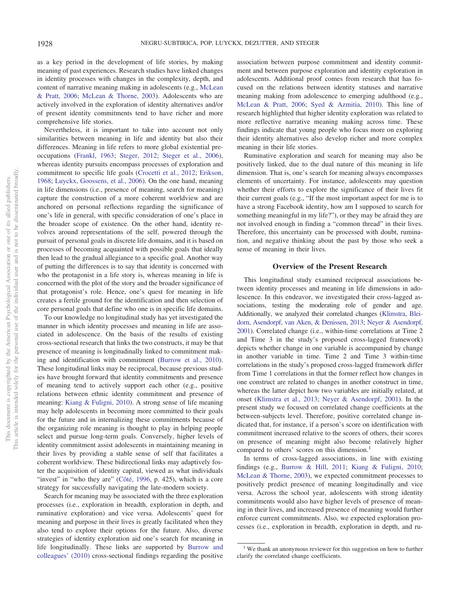as a key period in the development of life stories, by making meaning of past experiences. Research studies have linked changes in identity processes with changes in the complexity, depth, and content of narrative meaning making in adolescents (e.g., McLean & Pratt, 2006; McLean & Thorne, 2003). Adolescents who are actively involved in the exploration of identity alternatives and/or of present identity commitments tend to have richer and more comprehensive life stories.

Nevertheless, it is important to take into account not only similarities between meaning in life and identity but also their differences. Meaning in life refers to more global existential preoccupations (Frankl, 1963; Steger, 2012; Steger et al., 2006), whereas identity pursuits encompass processes of exploration and commitment to specific life goals (Crocetti et al., 2012; Erikson, 1968; Luyckx, Goossens, et al., 2006). On the one hand, meaning in life dimensions (i.e., presence of meaning, search for meaning) capture the construction of a more coherent worldview and are anchored on personal reflections regarding the significance of one's life in general, with specific consideration of one's place in the broader scope of existence. On the other hand, identity revolves around representations of the self, powered through the pursuit of personal goals in discrete life domains, and it is based on processes of becoming acquainted with possible goals that ideally then lead to the gradual allegiance to a specific goal. Another way of putting the differences is to say that identity is concerned with who the protagonist in a life story is, whereas meaning in life is concerned with the plot of the story and the broader significance of that protagonist's role. Hence, one's quest for meaning in life creates a fertile ground for the identification and then selection of core personal goals that define who one is in specific life domains.

To our knowledge no longitudinal study has yet investigated the manner in which identity processes and meaning in life are associated in adolescence. On the basis of the results of existing cross-sectional research that links the two constructs, it may be that presence of meaning is longitudinally linked to commitment making and identification with commitment (Burrow et al., 2010). These longitudinal links may be reciprocal, because previous studies have brought forward that identity commitments and presence of meaning tend to actively support each other (e.g., positive relations between ethnic identity commitment and presence of meaning: Kiang & Fuligni, 2010). A strong sense of life meaning may help adolescents in becoming more committed to their goals for the future and in internalizing these commitments because of the organizing role meaning is thought to play in helping people select and pursue long-term goals. Conversely, higher levels of identity commitment assist adolescents in maintaining meaning in their lives by providing a stable sense of self that facilitates a coherent worldview. These bidirectional links may adaptively foster the acquisition of identity capital, viewed as what individuals "invest" in "who they are" (Côté, 1996, p. 425), which is a core strategy for successfully navigating the late-modern society.

Search for meaning may be associated with the three exploration processes (i.e., exploration in breadth, exploration in depth, and ruminative exploration) and vice versa. Adolescents' quest for meaning and purpose in their lives is greatly facilitated when they also tend to explore their options for the future. Also, diverse strategies of identity exploration aid one's search for meaning in life longitudinally. These links are supported by Burrow and colleagues' (2010) cross-sectional findings regarding the positive

association between purpose commitment and identity commitment and between purpose exploration and identity exploration in adolescents. Additional proof comes from research that has focused on the relations between identity statuses and narrative meaning making from adolescence to emerging adulthood (e.g., McLean & Pratt, 2006; Syed & Azmitia, 2010). This line of research highlighted that higher identity exploration was related to more reflective narrative meaning making across time. These findings indicate that young people who focus more on exploring their identity alternatives also develop richer and more complex meaning in their life stories.

Ruminative exploration and search for meaning may also be positively linked, due to the dual nature of this meaning in life dimension. That is, one's search for meaning always encompasses elements of uncertainty. For instance, adolescents may question whether their efforts to explore the significance of their lives fit their current goals (e.g., "If the most important aspect for me is to have a strong Facebook identity, how am I supposed to search for something meaningful in my life?"), or they may be afraid they are not involved enough in finding a "common thread" in their lives. Therefore, this uncertainty can be processed with doubt, rumination, and negative thinking about the past by those who seek a sense of meaning in their lives.

## **Overview of the Present Research**

This longitudinal study examined reciprocal associations between identity processes and meaning in life dimensions in adolescence. In this endeavor, we investigated their cross-lagged associations, testing the moderating role of gender and age. Additionally, we analyzed their correlated changes (Klimstra, Bleidorn, Asendorpf, van Aken, & Denissen, 2013; Neyer & Asendorpf, 2001). Correlated change (i.e., within-time correlations at Time 2 and Time 3 in the study's proposed cross-lagged framework) depicts whether change in one variable is accompanied by change in another variable in time. Time 2 and Time 3 within-time correlations in the study's proposed cross-lagged framework differ from Time 1 correlations in that the former reflect how changes in one construct are related to changes in another construct in time, whereas the latter depict how two variables are initially related, at onset (Klimstra et al., 2013; Neyer & Asendorpf, 2001). In the present study we focused on correlated change coefficients at the between-subjects level. Therefore, positive correlated change indicated that, for instance, if a person's score on identification with commitment increased relative to the scores of others, their scores on presence of meaning might also become relatively higher compared to others' scores on this dimension.<sup>1</sup>

In terms of cross-lagged associations, in line with existing findings (e.g., Burrow & Hill, 2011; Kiang & Fuligni, 2010; McLean & Thorne, 2003), we expected commitment processes to positively predict presence of meaning longitudinally and vice versa. Across the school year, adolescents with strong identity commitments would also have higher levels of presence of meaning in their lives, and increased presence of meaning would further enforce current commitments. Also, we expected exploration processes (i.e., exploration in breadth, exploration in depth, and ru-

<sup>&</sup>lt;sup>1</sup> We thank an anonymous reviewer for this suggestion on how to further clarify the correlated change coefficients.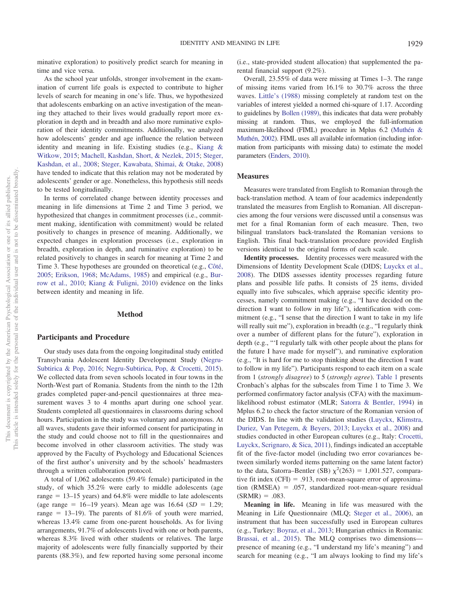minative exploration) to positively predict search for meaning in time and vice versa.

As the school year unfolds, stronger involvement in the examination of current life goals is expected to contribute to higher levels of search for meaning in one's life. Thus, we hypothesized that adolescents embarking on an active investigation of the meaning they attached to their lives would gradually report more exploration in depth and in breadth and also more ruminative exploration of their identity commitments. Additionally, we analyzed how adolescents' gender and age influence the relation between identity and meaning in life. Existing studies (e.g., Kiang & Witkow, 2015; Machell, Kashdan, Short, & Nezlek, 2015; Steger, Kashdan, et al., 2008; Steger, Kawabata, Shimai, & Otake, 2008) have tended to indicate that this relation may not be moderated by adolescents' gender or age. Nonetheless, this hypothesis still needs to be tested longitudinally.

In terms of correlated change between identity processes and meaning in life dimensions at Time 2 and Time 3 period, we hypothesized that changes in commitment processes (i.e., commitment making, identification with commitment) would be related positively to changes in presence of meaning. Additionally, we expected changes in exploration processes (i.e., exploration in breadth, exploration in depth, and ruminative exploration) to be related positively to changes in search for meaning at Time 2 and Time 3. These hypotheses are grounded on theoretical (e.g., Côté, 2005; Erikson, 1968; McAdams, 1985) and empirical (e.g., Burrow et al., 2010; Kiang & Fuligni, 2010) evidence on the links between identity and meaning in life.

#### **Method**

#### **Participants and Procedure**

Our study uses data from the ongoing longitudinal study entitled Transylvania Adolescent Identity Development Study (Negru-Subtirica & Pop, 2016; Negru-Subtirica, Pop, & Crocetti, 2015). We collected data from seven schools located in four towns in the North-West part of Romania. Students from the ninth to the 12th grades completed paper-and-pencil questionnaires at three measurement waves  $3$  to  $4$  months apart during one school year. Students completed all questionnaires in classrooms during school hours. Participation in the study was voluntary and anonymous. At all waves, students gave their informed consent for participating in the study and could choose not to fill in the questionnaires and become involved in other classroom activities. The study was approved by the Faculty of Psychology and Educational Sciences of the first author's university and by the schools' headmasters through a written collaboration protocol.

A total of 1,062 adolescents (59.4% female) participated in the study, of which 35.2% were early to middle adolescents (age range  $= 13-15$  years) and 64.8% were middle to late adolescents (age range  $= 16 - 19$  years). Mean age was  $16.64$  (*SD*  $= 1.29$ ; range  $= 13-19$ ). The parents of 81.6% of youth were married, whereas 13.4% came from one-parent households. As for living arrangements, 91.7% of adolescents lived with one or both parents, whereas 8.3% lived with other students or relatives. The large majority of adolescents were fully financially supported by their parents (88.3%), and few reported having some personal income

(i.e., state-provided student allocation) that supplemented the parental financial support (9.2%).

Overall, 23.55% of data were missing at Times 1–3. The range of missing items varied from 16.1% to 30.7% across the three waves. Little's (1988) missing completely at random test on the variables of interest yielded a normed chi-square of 1.17. According to guidelines by Bollen (1989), this indicates that data were probably missing at random. Thus, we employed the full-information maximum-likelihood (FIML) procedure in Mplus 6.2 (Muthén & Muthén, 2002). FIML uses all available information (including information from participants with missing data) to estimate the model parameters (Enders, 2010).

#### **Measures**

Measures were translated from English to Romanian through the back-translation method. A team of four academics independently translated the measures from English to Romanian. All discrepancies among the four versions were discussed until a consensus was met for a final Romanian form of each measure. Then, two bilingual translators back-translated the Romanian versions to English. This final back-translation procedure provided English versions identical to the original forms of each scale.

**Identity processes.** Identity processes were measured with the Dimensions of Identity Development Scale (DIDS; Luyckx et al., 2008). The DIDS assesses identity processes regarding future plans and possible life paths. It consists of 25 items, divided equally into five subscales, which appraise specific identity processes, namely commitment making (e.g., "I have decided on the direction I want to follow in my life"), identification with commitment (e.g., "I sense that the direction I want to take in my life will really suit me"), exploration in breadth (e.g., "I regularly think over a number of different plans for the future"), exploration in depth (e.g., "'I regularly talk with other people about the plans for the future I have made for myself"), and ruminative exploration (e.g., "It is hard for me to stop thinking about the direction I want to follow in my life"). Participants respond to each item on a scale from 1 (*strongly disagree*) to 5 (*strongly agree*). Table 1 presents Cronbach's alphas for the subscales from Time 1 to Time 3. We performed confirmatory factor analysis (CFA) with the maximumlikelihood robust estimator (MLR; Satorra & Bentler, 1994) in Mplus 6.2 to check the factor structure of the Romanian version of the DIDS. In line with the validation studies (Luyckx, Klimstra, Duriez, Van Petegem, & Beyers, 2013; Luyckx et al., 2008) and studies conducted in other European cultures (e.g., Italy: Crocetti, Luyckx, Scrignaro, & Sica, 2011), findings indicated an acceptable fit of the five-factor model (including two error covariances between similarly worded items patterning on the same latent factor) to the data, Satorra–Bentler (SB)  $\chi^2(263) = 1,001.527$ , comparative fit index  $(CFI) = .913$ , root-mean-square error of approxima $tion (RMSEA) = .057$ , standardized root-mean-square residual  $(SRMR) = .083$ .

**Meaning in life.** Meaning in life was measured with the Meaning in Life Questionnaire (MLQ; Steger et al., 2006), an instrument that has been successfully used in European cultures (e.g., Turkey: Boyraz, et al., 2013; Hungarian ethnics in Romania: Brassai, et al., 2015). The MLQ comprises two dimensions presence of meaning (e.g., "I understand my life's meaning") and search for meaning (e.g., "I am always looking to find my life's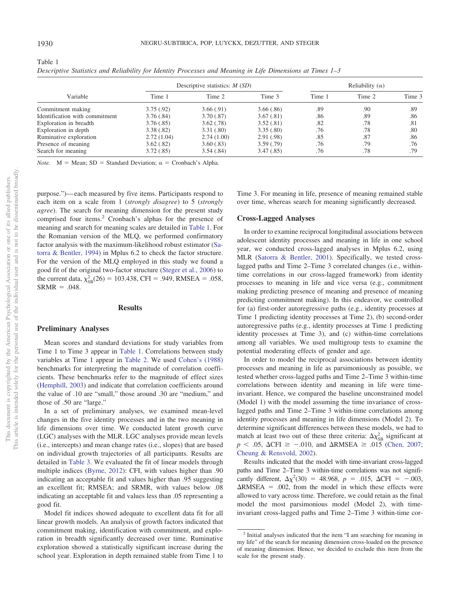Table 1

| Variable                       |            | Descriptive statistics: $M(SD)$ | Reliability $(\alpha)$ |        |        |        |
|--------------------------------|------------|---------------------------------|------------------------|--------|--------|--------|
|                                | Time 1     | Time 2                          | Time 3                 | Time 1 | Time 2 | Time 3 |
| Commitment making              | 3.75(.92)  | 3.66(.91)                       | 3.66(.86)              | .89    | .90    | .89    |
| Identification with commitment | 3.76(.84)  | 3.70(.87)                       | 3.67(.81)              | .86    | .89    | .86    |
| Exploration in breadth         | 3.76(.85)  | 3.62(.78)                       | 3.52(.81)              | .82    | .78    | .81    |
| Exploration in depth           | 3.38(.82)  | 3.31(.80)                       | 3.35(.80)              | .76    | .78    | .80    |
| Ruminative exploration         | 2.72(1.04) | 2.74(1.00)                      | 2.91(.98)              | .85    | .87    | .86    |
| Presence of meaning            | 3.62(.82)  | 3.60(.83)                       | 3.59(0.79)             | .76    | .79    | .76    |
| Search for meaning             | 3.72(.85)  | 3.54(.84)                       | 3.47(.85)              | .76    | .78    | .79    |

*Descriptive Statistics and Reliability for Identity Processes and Meaning in Life Dimensions at Times 1–3*

*Note.*  $M = \text{Mean}$ ;  $SD = \text{Standard Deviation}$ ;  $\alpha = \text{Cronbach's Alpha}$ .

purpose.")—each measured by five items. Participants respond to each item on a scale from 1 (*strongly disagree*) to 5 (*strongly agree*). The search for meaning dimension for the present study comprised four items.<sup>2</sup> Cronbach's alphas for the presence of meaning and search for meaning scales are detailed in Table 1. For the Romanian version of the MLQ, we performed confirmatory factor analysis with the maximum-likelihood robust estimator (Satorra & Bentler, 1994) in Mplus 6.2 to check the factor structure. For the version of the MLQ employed in this study we found a good fit of the original two-factor structure (Steger et al., 2006) to the current data,  $\chi_{SB}^2(26) = 103.438$ , CFI = .949, RMSEA = .058,  $SRMR = .048$ .

#### **Results**

## **Preliminary Analyses**

Mean scores and standard deviations for study variables from Time 1 to Time 3 appear in Table 1. Correlations between study variables at Time 1 appear in Table 2. We used Cohen's (1988) benchmarks for interpreting the magnitude of correlation coefficients. These benchmarks refer to the magnitude of effect sizes (Hemphill, 2003) and indicate that correlation coefficients around the value of .10 are "small," those around .30 are "medium," and those of .50 are "large."

In a set of preliminary analyses, we examined mean-level changes in the five identity processes and in the two meaning in life dimensions over time. We conducted latent growth curve (LGC) analyses with the MLR. LGC analyses provide mean levels (i.e., intercepts) and mean change rates (i.e., slopes) that are based on individual growth trajectories of all participants. Results are detailed in Table 3. We evaluated the fit of linear models through multiple indices (Byrne, 2012): CFI, with values higher than .90 indicating an acceptable fit and values higher than .95 suggesting an excellent fit; RMSEA; and SRMR, with values below .08 indicating an acceptable fit and values less than .05 representing a good fit.

Model fit indices showed adequate to excellent data fit for all linear growth models. An analysis of growth factors indicated that commitment making, identification with commitment, and exploration in breadth significantly decreased over time. Ruminative exploration showed a statistically significant increase during the school year. Exploration in depth remained stable from Time 1 to Time 3. For meaning in life, presence of meaning remained stable over time, whereas search for meaning significantly decreased.

## **Cross-Lagged Analyses**

In order to examine reciprocal longitudinal associations between adolescent identity processes and meaning in life in one school year, we conducted cross-lagged analyses in Mplus 6.2, using MLR (Satorra & Bentler, 2001). Specifically, we tested crosslagged paths and Time 2–Time 3 correlated changes (i.e., withintime correlations in our cross-lagged framework) from identity processes to meaning in life and vice versa (e.g., commitment making predicting presence of meaning and presence of meaning predicting commitment making). In this endeavor, we controlled for (a) first-order autoregressive paths (e.g., identity processes at Time 1 predicting identity processes at Time 2), (b) second-order autoregressive paths (e.g., identity processes at Time 1 predicting identity processes at Time 3), and (c) within-time correlations among all variables. We used multigroup tests to examine the potential moderating effects of gender and age.

In order to model the reciprocal associations between identity processes and meaning in life as parsimoniously as possible, we tested whether cross-lagged paths and Time 2–Time 3 within-time correlations between identity and meaning in life were timeinvariant. Hence, we compared the baseline unconstrained model (Model 1) with the model assuming the time invariance of crosslagged paths and Time 2–Time 3 within-time correlations among identity processes and meaning in life dimensions (Model 2). To determine significant differences between these models, we had to match at least two out of these three criteria:  $\Delta \chi_{SB}^2$  significant at  $p \leq .05$ ,  $\Delta \text{CFI} \geq -.010$ , and  $\Delta \text{RMSEA} \geq .015$  (Chen, 2007; Cheung & Rensvold, 2002).

Results indicated that the model with time-invariant cross-lagged paths and Time 2–Time 3 within-time correlations was not significantly different,  $\Delta \chi^2(30) = 48.968$ ,  $p = .015$ ,  $\Delta \text{CFI} = -.003$ ,  $\Delta$ RMSEA = .002, from the model in which these effects were allowed to vary across time. Therefore, we could retain as the final model the most parsimonious model (Model 2), with timeinvariant cross-lagged paths and Time 2–Time 3 within-time cor-

<sup>2</sup> Initial analyses indicated that the item "I am searching for meaning in my life" of the search for meaning dimension cross-loaded on the presence of meaning dimension. Hence, we decided to exclude this item from the scale for the present study.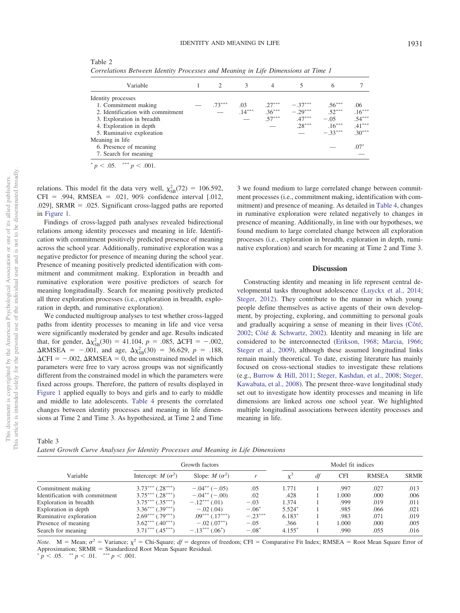| Variable                          | $\overline{2}$ | 3        | 4        |           | 6         |          |
|-----------------------------------|----------------|----------|----------|-----------|-----------|----------|
| Identity processes                |                |          |          |           |           |          |
| 1. Commitment making              | $.73***$       | .03      | $.27***$ | $-.37***$ | $.56***$  | .06      |
| 2. Identification with commitment |                | $.14***$ | $.36***$ | $-.29***$ | $.52***$  | $.16***$ |
| 3. Exploration in breadth         |                |          | $.57***$ | $.47***$  | $-.05$    | $.54***$ |
| 4. Exploration in depth           |                |          |          | $.28***$  | $.16***$  | $.41***$ |
| 5. Ruminative exploration         |                |          |          |           | $-.33***$ | $.30***$ |
| Meaning in life                   |                |          |          |           |           |          |
| 6. Presence of meaning            |                |          |          |           |           | $.07*$   |
| 7. Search for meaning             |                |          |          |           |           |          |
| *** $p < .001$ .<br>$p < .05$ .   |                |          |          |           |           |          |

Table 2 *Correlations Between Identity Processes and Meaning in Life Dimensions at Time 1*

relations. This model fit the data very well,  $\chi_{SB}^2(72) = 106.592$ ,  $CFI = .994$ , RMSEA = .021, 90% confidence interval [.012,  $.029$ ], SRMR =  $.025$ . Significant cross-lagged paths are reported in Figure 1.

Findings of cross-lagged path analyses revealed bidirectional relations among identity processes and meaning in life. Identification with commitment positively predicted presence of meaning across the school year. Additionally, ruminative exploration was a negative predictor for presence of meaning during the school year. Presence of meaning positively predicted identification with commitment and commitment making. Exploration in breadth and ruminative exploration were positive predictors of search for meaning longitudinally. Search for meaning positively predicted all three exploration processes (i.e., exploration in breadth, exploration in depth, and ruminative exploration).

We conducted multigroup analyses to test whether cross-lagged paths from identity processes to meaning in life and vice versa were significantly moderated by gender and age. Results indicated that, for gender,  $\Delta \chi_{SB}^2(30) = 41.104$ ,  $p = .085$ ,  $\Delta \text{CFI} = -.002$ ,  $\Delta$ RMSEA = -.001, and age,  $\Delta \chi^2_{SB}(30) = 36.629$ ,  $p = .188$ ,  $\Delta$ CFI = -.002,  $\Delta$ RMSEA = 0, the unconstrained model in which parameters were free to vary across groups was not significantly different from the constrained model in which the parameters were fixed across groups. Therefore, the pattern of results displayed in Figure 1 applied equally to boys and girls and to early to middle and middle to late adolescents. Table 4 presents the correlated changes between identity processes and meaning in life dimensions at Time 2 and Time 3. As hypothesized, at Time 2 and Time

3 we found medium to large correlated change between commitment processes (i.e., commitment making, identification with commitment) and presence of meaning. As detailed in Table 4, changes in ruminative exploration were related negatively to changes in presence of meaning. Additionally, in line with our hypotheses, we found medium to large correlated change between all exploration processes (i.e., exploration in breadth, exploration in depth, ruminative exploration) and search for meaning at Time 2 and Time 3.

#### **Discussion**

Constructing identity and meaning in life represent central developmental tasks throughout adolescence (Luyckx et al., 2014; Steger, 2012). They contribute to the manner in which young people define themselves as active agents of their own development, by projecting, exploring, and committing to personal goals and gradually acquiring a sense of meaning in their lives (Côté, 2002; Côté & Schwartz, 2002). Identity and meaning in life are considered to be interconnected (Erikson, 1968; Marcia, 1966; Steger et al., 2009), although these assumed longitudinal links remain mainly theoretical. To date, existing literature has mainly focused on cross-sectional studies to investigate these relations (e.g., Burrow & Hill, 2011; Steger, Kashdan, et al., 2008; Steger, Kawabata, et al., 2008). The present three-wave longitudinal study set out to investigate how identity processes and meaning in life dimensions are linked across one school year. We highlighted multiple longitudinal associations between identity processes and meaning in life.

Table 3

*Latent Growth Curve Analyses for Identity Processes and Meaning in Life Dimensions*

|                                |                           | Growth factors              |           |          | Model fit indices |       |              |             |  |
|--------------------------------|---------------------------|-----------------------------|-----------|----------|-------------------|-------|--------------|-------------|--|
| Variable                       | Intercept: $M(\sigma^2)$  | Slope: $M(\sigma^2)$        |           |          | df                | CFI   | <b>RMSEA</b> | <b>SRMR</b> |  |
| Commitment making              | $3.73***$ $(.28***)$      | $-.04***(-.05)$             | .05       | 1.771    |                   | .997  | .027         | .013        |  |
| Identification with commitment | $3.75***$ $(.28***$       | $-.04^{**}(-.00)$           | .02       | .428     |                   | 1.000 | .000         | .006        |  |
| Exploration in breadth         | $3.75***$ $(.35***)$      | $-.12***$ (.01)             | $-.03$    | 1.374    |                   | .999  | .019         | .011        |  |
| Exploration in depth           | $3.36***$ $(.39***)$      | $-.02(.04)$                 | $-.06*$   | $5.524*$ |                   | .985  | .066         | .021        |  |
| Ruminative exploration         | $2.69***$ $(.79***$       | $.09***$ $(.17***)$         | $-.23***$ | $6.183*$ |                   | .983  | .071         | .019        |  |
| Presence of meaning            | $3.62***$<br>$(.40^{***}$ | $-.02$ (.07 <sup>**</sup> ) | $-.05$    | .366     |                   | 1.000 | .000         | .005        |  |
| Search for meaning             | $3.71***$<br>$0.45***$    | $-.13***$<br>$(.06^*)$      | $-.08*$   | $4.155*$ |                   | .990  | .055         | .016        |  |

*Note.*  $M = \text{Mean}; \sigma^2 = \text{Variance}; \chi^2 = \text{Chi-Square}; df = \text{degrees of freedom}; CFI = \text{Comparative Fit Index}; RMSEA = \text{Root Mean Square Error of } \sigma^2 = \text{Variance}; T = \text{Conjecture}$ Approximation; SRMR = Standardized Root Mean Square Residual.<br>  $p < .05$ .  $\rightarrow p < .01$ .  $\rightarrow \rightarrow p < .001$ .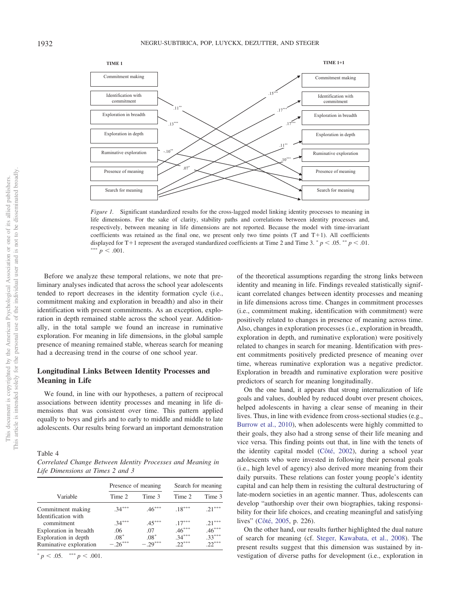

*Figure 1.* Significant standardized results for the cross-lagged model linking identity processes to meaning in life dimensions. For the sake of clarity, stability paths and correlations between identity processes and, respectively, between meaning in life dimensions are not reported. Because the model with time-invariant coefficients was retained as the final one, we present only two time points  $(T \text{ and } T+1)$ . All coefficients displayed for T + 1 represent the averaged standardized coefficients at Time 2 and Time 3.  $^*p < .05$ .  $^{**}p < .01$ . - $p < .001$ .

Before we analyze these temporal relations, we note that preliminary analyses indicated that across the school year adolescents tended to report decreases in the identity formation cycle (i.e., commitment making and exploration in breadth) and also in their identification with present commitments. As an exception, exploration in depth remained stable across the school year. Additionally, in the total sample we found an increase in ruminative exploration. For meaning in life dimensions, in the global sample presence of meaning remained stable, whereas search for meaning had a decreasing trend in the course of one school year.

## **Longitudinal Links Between Identity Processes and Meaning in Life**

We found, in line with our hypotheses, a pattern of reciprocal associations between identity processes and meaning in life dimensions that was consistent over time. This pattern applied equally to boys and girls and to early to middle and middle to late adolescents. Our results bring forward an important demonstration

Table 4

| Correlated Change Between Identity Processes and Meaning in |  |  |  |
|-------------------------------------------------------------|--|--|--|
| Life Dimensions at Times 2 and 3                            |  |  |  |

|                                          | Presence of meaning |           | Search for meaning |          |  |
|------------------------------------------|---------------------|-----------|--------------------|----------|--|
| Variable                                 | Time 2              | Time 3    | Time 2             | Time 3   |  |
| Commitment making<br>Identification with | $34***$             | $.46***$  | $.18***$           | $21***$  |  |
| commitment                               | $34***$             | $.45***$  | $.17***$           | $21***$  |  |
| Exploration in breadth                   | .06                 | .07       | $.46***$           | $.46***$ |  |
| Exploration in depth                     | $.08*$              | $.08*$    | $.34***$           | $.33***$ |  |
| Ruminative exploration                   | $-.26***$           | $-.29***$ | $22***$            | $22***$  |  |

 $p < .05.$  \*\*\*  $p < .001.$ 

of the theoretical assumptions regarding the strong links between identity and meaning in life. Findings revealed statistically significant correlated changes between identity processes and meaning in life dimensions across time. Changes in commitment processes (i.e., commitment making, identification with commitment) were positively related to changes in presence of meaning across time. Also, changes in exploration processes (i.e., exploration in breadth, exploration in depth, and ruminative exploration) were positively related to changes in search for meaning. Identification with present commitments positively predicted presence of meaning over time, whereas ruminative exploration was a negative predictor. Exploration in breadth and ruminative exploration were positive predictors of search for meaning longitudinally.

On the one hand, it appears that strong internalization of life goals and values, doubled by reduced doubt over present choices, helped adolescents in having a clear sense of meaning in their lives. Thus, in line with evidence from cross-sectional studies (e.g., Burrow et al., 2010), when adolescents were highly committed to their goals, they also had a strong sense of their life meaning and vice versa. This finding points out that, in line with the tenets of the identity capital model (Côté, 2002), during a school year adolescents who were invested in following their personal goals (i.e., high level of agency) also derived more meaning from their daily pursuits. These relations can foster young people's identity capital and can help them in resisting the cultural destructuring of late-modern societies in an agentic manner. Thus, adolescents can develop "authorship over their own biographies, taking responsibility for their life choices, and creating meaningful and satisfying lives" (Côté, 2005, p. 226).

On the other hand, our results further highlighted the dual nature of search for meaning (cf. Steger, Kawabata, et al., 2008). The present results suggest that this dimension was sustained by investigation of diverse paths for development (i.e., exploration in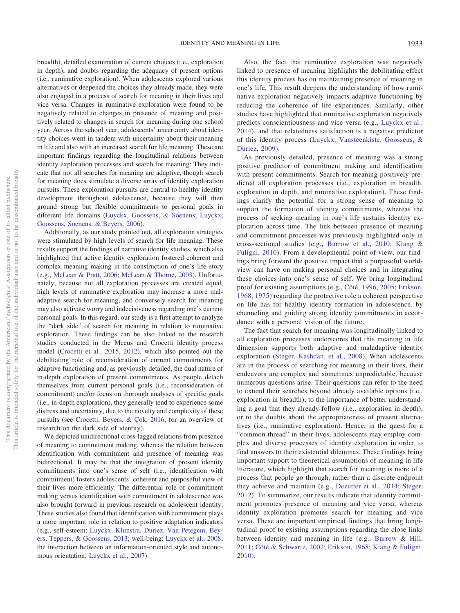This document is copyrighted by the American Psychological Association or one of its allied publishers.

This document is copyrighted by the American Psychological Association or one of its allied publishers.

breadth), detailed examination of current choices (i.e., exploration in depth), and doubts regarding the adequacy of present options (i.e., ruminative exploration). When adolescents explored various alternatives or deepened the choices they already made, they were also engaged in a process of search for meaning in their lives and vice versa. Changes in ruminative exploration were found to be negatively related to changes in presence of meaning and positively related to changes in search for meaning during one school year. Across the school year, adolescents' uncertainty about identity choices went in tandem with uncertainty about their meaning in life and also with an increased search for life meaning. These are important findings regarding the longitudinal relations between identity exploration processes and search for meaning: They indicate that not all searches for meaning are adaptive, though search for meaning does stimulate a diverse array of identity exploration pursuits. These exploration pursuits are central to healthy identity development throughout adolescence, because they will then ground strong but flexible commitments to personal goals in different life domains (Luyckx, Goossens, & Soenens; Luyckx, Goossens, Soenens, & Beyers, 2006).

Additionally, as our study pointed out, all exploration strategies were stimulated by high levels of search for life meaning. These results support the findings of narrative identity studies, which also highlighted that active identity exploration fostered coherent and complex meaning making in the construction of one's life story (e.g., McLean & Pratt, 2006; McLean & Thorne, 2003). Unfortunately, because not all exploration processes are created equal, high levels of ruminative exploration may increase a more maladaptive search for meaning, and conversely search for meaning may also activate worry and indecisiveness regarding one's current personal goals. In this regard, our study is a first attempt to analyze the "dark side" of search for meaning in relation to ruminative exploration. These findings can be also linked to the research studies conducted in the Meeus and Crocetti identity process model (Crocetti et al., 2015, 2012), which also pointed out the debilitating role of reconsideration of current commitments for adaptive functioning and, as previously detailed, the dual nature of in-depth exploration of present commitments. As people detach themselves from current personal goals (i.e., reconsideration of commitment) and/or focus on thorough analyses of specific goals (i.e., in-depth exploration), they generally tend to experience some distress and uncertainty, due to the novelty and complexity of these pursuits (see Crocetti, Beyers, & Çok, 2016, for an overview of research on the dark side of identity).

We depicted unidirectional cross-lagged relations from presence of meaning to commitment making, whereas the relation between identification with commitment and presence of meaning was bidirectional. It may be that the integration of present identity commitments into one's sense of self (i.e., identification with commitment) fosters adolescents' coherent and purposeful view of their lives more efficiently. The differential role of commitment making versus identification with commitment in adolescence was also brought forward in previous research on adolescent identity. These studies also found that identification with commitment plays a more important role in relation to positive adaptation indicators (e.g., self-esteem: Luyckx, Klimstra, Duriez, Van Petegem, Beyers, Teppers, & Goossens, 2013; well-being: Luyckx et al., 2008; the interaction between an information-oriented style and autonomous orientation: Luyckx et al., 2007).

Also, the fact that ruminative exploration was negatively linked to presence of meaning highlights the debilitating effect this identity process has on maintaining presence of meaning in one's life. This result deepens the understanding of how ruminative exploration negatively impacts adaptive functioning by reducing the coherence of life experiences. Similarly, other studies have highlighted that ruminative exploration negatively predicts conscientiousness and vice versa (e.g., Luyckx et al., 2014), and that relatedness satisfaction is a negative predictor of this identity process (Luyckx, Vansteenkiste, Goossens, & Duriez, 2009).

As previously detailed, presence of meaning was a strong positive predictor of commitment making and identification with present commitments. Search for meaning positively predicted all exploration processes (i.e., exploration in breadth, exploration in depth, and ruminative exploration). These findings clarify the potential for a strong sense of meaning to support the formation of identity commitments, whereas the process of seeking meaning in one's life sustains identity exploration across time. The link between presence of meaning and commitment processes was previously highlighted only in cross-sectional studies (e.g., Burrow et al., 2010; Kiang & Fuligni, 2010). From a developmental point of view, our findings bring forward the positive impact that a purposeful worldview can have on making personal choices and in integrating these choices into one's sense of self. We bring longitudinal proof for existing assumptions (e.g., Côté, 1996, 2005; Erikson, 1968, 1975) regarding the protective role a coherent perspective on life has for healthy identity formation in adolescence, by channeling and guiding strong identity commitments in accordance with a personal vision of the future.

The fact that search for meaning was longitudinally linked to all exploration processes underscores that this meaning in life dimension supports both adaptive and maladaptive identity exploration (Steger, Kashdan, et al., 2008). When adolescents are in the process of searching for meaning in their lives, their endeavors are complex and sometimes unpredictable, because numerous questions arise. Their questions can refer to the need to extend their searches beyond already available options (i.e., exploration in breadth), to the importance of better understanding a goal that they already follow (i.e., exploration in depth), or to the doubts about the appropriateness of present alternatives (i.e., ruminative exploration). Hence, in the quest for a "common thread" in their lives, adolescents may employ complex and diverse processes of identity exploration in order to find answers to their existential dilemmas. These findings bring important support to theoretical assumptions of meaning in life literature, which highlight that search for meaning is more of a process that people go through, rather than a discrete endpoint they achieve and maintain (e.g., Dezutter et al., 2014; Steger, 2012). To summarize, our results indicate that identity commitment promotes presence of meaning and vice versa, whereas identity exploration promotes search for meaning and vice versa. These are important empirical findings that bring longitudinal proof to existing assumptions regarding the close links between identity and meaning in life (e.g., Burrow & Hill, 2011; Côté & Schwartz, 2002; Erikson, 1968; Kiang & Fuligni, 2010).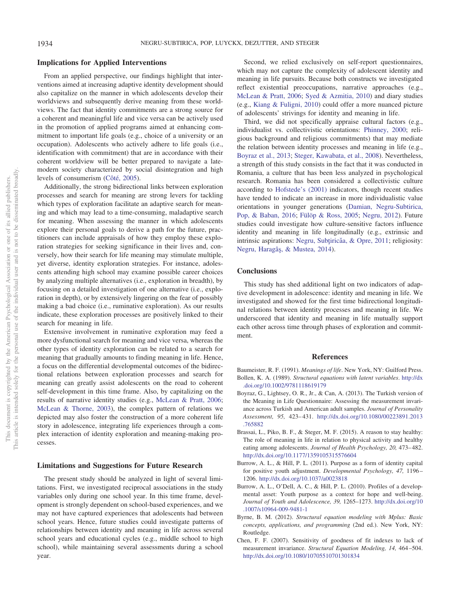#### **Implications for Applied Interventions**

From an applied perspective, our findings highlight that interventions aimed at increasing adaptive identity development should also capitalize on the manner in which adolescents develop their worldviews and subsequently derive meaning from these worldviews. The fact that identity commitments are a strong source for a coherent and meaningful life and vice versa can be actively used in the promotion of applied programs aimed at enhancing commitment to important life goals (e.g., choice of a university or an occupation). Adolescents who actively adhere to life goals (i.e., identification with commitment) that are in accordance with their coherent worldview will be better prepared to navigate a latemodern society characterized by social disintegration and high levels of consumerism (Côté, 2005).

Additionally, the strong bidirectional links between exploration processes and search for meaning are strong levers for tackling which types of exploration facilitate an adaptive search for meaning and which may lead to a time-consuming, maladaptive search for meaning. When assessing the manner in which adolescents explore their personal goals to derive a path for the future, practitioners can include appraisals of how they employ these exploration strategies for seeking significance in their lives and, conversely, how their search for life meaning may stimulate multiple, yet diverse, identity exploration strategies. For instance, adolescents attending high school may examine possible career choices by analyzing multiple alternatives (i.e., exploration in breadth), by focusing on a detailed investigation of one alternative (i.e., exploration in depth), or by extensively lingering on the fear of possibly making a bad choice (i.e., ruminative exploration). As our results indicate, these exploration processes are positively linked to their search for meaning in life.

Extensive involvement in ruminative exploration may feed a more dysfunctional search for meaning and vice versa, whereas the other types of identity exploration can be related to a search for meaning that gradually amounts to finding meaning in life. Hence, a focus on the differential developmental outcomes of the bidirectional relations between exploration processes and search for meaning can greatly assist adolescents on the road to coherent self-development in this time frame. Also, by capitalizing on the results of narrative identity studies (e.g., McLean & Pratt, 2006; McLean & Thorne, 2003), the complex pattern of relations we depicted may also foster the construction of a more coherent life story in adolescence, integrating life experiences through a complex interaction of identity exploration and meaning-making processes.

## **Limitations and Suggestions for Future Research**

The present study should be analyzed in light of several limitations. First, we investigated reciprocal associations in the study variables only during one school year. In this time frame, development is strongly dependent on school-based experiences, and we may not have captured experiences that adolescents had between school years. Hence, future studies could investigate patterns of relationships between identity and meaning in life across several school years and educational cycles (e.g., middle school to high school), while maintaining several assessments during a school year.

Second, we relied exclusively on self-report questionnaires, which may not capture the complexity of adolescent identity and meaning in life pursuits. Because both constructs we investigated reflect existential preoccupations, narrative approaches (e.g., McLean & Pratt, 2006; Syed & Azmitia, 2010) and diary studies (e.g., Kiang & Fuligni, 2010) could offer a more nuanced picture of adolescents' strivings for identity and meaning in life.

Third, we did not specifically appraise cultural factors (e.g., individualist vs. collectivistic orientations: Phinney, 2000; religious background and religious commitments) that may mediate the relation between identity processes and meaning in life (e.g., Boyraz et al., 2013; Steger, Kawabata, et al., 2008). Nevertheless, a strength of this study consists in the fact that it was conducted in Romania, a culture that has been less analyzed in psychological research. Romania has been considered a collectivistic culture according to Hofstede's (2001) indicators, though recent studies have tended to indicate an increase in more individualistic value orientations in younger generations (Damian, Negru-Subtirica, Pop, & Baban, 2016; Fülöp & Ross, 2005; Negru, 2012). Future studies could investigate how culture-sensitive factors influence identity and meaning in life longitudinally (e.g., extrinsic and intrinsic aspirations: Negru, Subtiricăa, & Opre, 2011; religiosity: Negru, Haragâs¸, & Mustea, 2014).

#### **Conclusions**

This study has shed additional light on two indicators of adaptive development in adolescence: identity and meaning in life. We investigated and showed for the first time bidirectional longitudinal relations between identity processes and meaning in life. We underscored that identity and meaning in life mutually support each other across time through phases of exploration and commitment.

#### **References**

- Baumeister, R. F. (1991). *Meanings of life*. New York, NY: Guilford Press. Bollen, K. A. (1989). *Structural equations with latent variables*. [http://dx](http://dx.doi.org/10.1002/9781118619179) [.doi.org/10.1002/9781118619179](http://dx.doi.org/10.1002/9781118619179)
- Boyraz, G., Lightsey, O. R., Jr., & Can, A. (2013). The Turkish version of the Meaning in Life Questionnaire: Assessing the measurement invariance across Turkish and American adult samples. *Journal of Personality Assessment, 95,* 423–431. [http://dx.doi.org/10.1080/00223891.2013](http://dx.doi.org/10.1080/00223891.2013.765882) [.765882](http://dx.doi.org/10.1080/00223891.2013.765882)
- Brassai, L., Piko, B. F., & Steger, M. F. (2015). A reason to stay healthy: The role of meaning in life in relation to physical activity and healthy eating among adolescents. *Journal of Health Psychology, 20,* 473–482. <http://dx.doi.org/10.1177/1359105315576604>
- Burrow, A. L., & Hill, P. L. (2011). Purpose as a form of identity capital for positive youth adjustment. *Developmental Psychology, 47,* 1196– 1206. <http://dx.doi.org/10.1037/a0023818>
- Burrow, A. L., O'Dell, A. C., & Hill, P. L. (2010). Profiles of a developmental asset: Youth purpose as a context for hope and well-being. *Journal of Youth and Adolescence, 39,* 1265–1273. [http://dx.doi.org/10](http://dx.doi.org/10.1007/s10964-009-9481-1) [.1007/s10964-009-9481-1](http://dx.doi.org/10.1007/s10964-009-9481-1)
- Byrne, B. M. (2012). *Structural equation modeling with Mplus: Basic concepts, applications, and programming* (2nd ed.). New York, NY: Routledge.
- Chen, F. F. (2007). Sensitivity of goodness of fit indexes to lack of measurement invariance. *Structural Equation Modeling, 14,* 464–504. <http://dx.doi.org/10.1080/10705510701301834>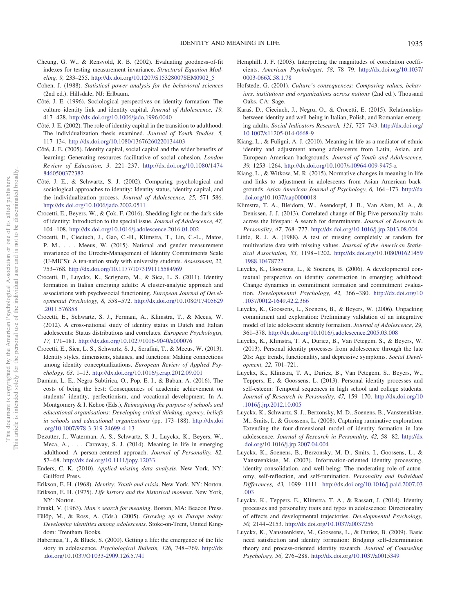- Cheung, G. W., & Rensvold, R. B. (2002). Evaluating goodness-of-fit indexes for testing measurement invariance. *Structural Equation Modeling, 9,* 233–255. [http://dx.doi.org/10.1207/S15328007SEM0902\\_5](http://dx.doi.org/10.1207/S15328007SEM0902_5)
- Cohen, J. (1988). *Statistical power analysis for the behavioral sciences* (2nd ed.). Hillsdale, NJ: Erlbaum.
- Côté, J. E. (1996). Sociological perspectives on identity formation: The culture–identity link and identity capital. *Journal of Adolescence, 19,* 417–428. <http://dx.doi.org/10.1006/jado.1996.0040>
- Côté, J. E. (2002). The role of identity capital in the transition to adulthood: The individualization thesis examined. *Journal of Youth Studies, 5,* 117–134. <http://dx.doi.org/10.1080/13676260220134403>
- Côté, J. E. (2005). Identity capital, social capital and the wider benefits of learning: Generating resources facilitative of social cohesion. *London Review of Education, 3,* 221–237. [http://dx.doi.org/10.1080/1474](http://dx.doi.org/10.1080/14748460500372382) [8460500372382](http://dx.doi.org/10.1080/14748460500372382)
- Côté, J. E., & Schwartz, S. J. (2002). Comparing psychological and sociological approaches to identity: Identity status, identity capital, and the individualization process. *Journal of Adolescence, 25,* 571–586. <http://dx.doi.org/10.1006/jado.2002.0511>
- Crocetti, E., Beyers, W., & Çok, F. (2016). Shedding light on the dark side of identity: Introduction to the special issue. *Journal of Adolescence, 47,* 104–108. <http://dx.doi.org/10.1016/j.adolescence.2016.01.002>
- Crocetti, E., Cieciuch, J., Gao, C.-H., Klimstra, T., Lin, C.-L., Matos, P. M., . . . Meeus, W. (2015). National and gender measurement invariance of the Utrecht-Management of Identity Commitments Scale (U-MICS): A ten-nation study with university students. *Assessment, 22,* 753–768. <http://dx.doi.org/10.1177/1073191115584969>
- Crocetti, E., Luyckx, K., Scrignaro, M., & Sica, L. S. (2011). Identity formation in Italian emerging adults: A cluster-analytic approach and associations with psychosocial functioning. *European Journal of Developmental Psychology, 8,* 558–572. [http://dx.doi.org/10.1080/17405629](http://dx.doi.org/10.1080/17405629.2011.576858) [.2011.576858](http://dx.doi.org/10.1080/17405629.2011.576858)
- Crocetti, E., Schwartz, S. J., Fermani, A., Klimstra, T., & Meeus, W. (2012). A cross-national study of identity status in Dutch and Italian adolescents: Status distributions and correlates. *European Psychologist, 17,* 171–181. <http://dx.doi.org/10.1027/1016-9040/a000076>
- Crocetti, E., Sica, L. S., Schwartz, S. J., Serafini, T., & Meeus, W. (2013). Identity styles, dimensions, statuses, and functions: Making connections among identity conceptualizations. *European Review of Applied Psychology, 63,* 1–13. <http://dx.doi.org/10.1016/j.erap.2012.09.001>
- Damian, L. E., Negru-Subtirica, O., Pop, E. I., & Baban, A. (2016). The costs of being the best: Consequences of academic achievement on students' identity, perfectionism, and vocational development. In A. Montgomery & I. Kehoe (Eds.), *Reimagining the purpose of schools and educational organisations: Developing critical thinking, agency, beliefs in schools and educational organizations* (pp. 173–188). [http://dx.doi](http://dx.doi.org/10.1007/978-3-319-24699-4_13) [.org/10.1007/978-3-319-24699-4\\_13](http://dx.doi.org/10.1007/978-3-319-24699-4_13)
- Dezutter, J., Waterman, A. S., Schwartz, S. J., Luyckx, K., Beyers, W., Meca, A.,... Caraway, S. J. (2014). Meaning in life in emerging adulthood: A person-centered approach. *Journal of Personality, 82,* 57–68. <http://dx.doi.org/10.1111/jopy.12033>
- Enders, C. K. (2010). *Applied missing data analysis*. New York, NY: Guilford Press.
- Erikson, E. H. (1968). *Identity: Youth and crisis*. New York, NY: Norton.
- Erikson, E. H. (1975). *Life history and the historical moment*. New York, NY: Norton.
- Frankl, V. (1963). *Man's search for meaning*. Boston, MA: Beacon Press.
- Fülöp, M., & Ross, A. (Eds.). (2005). *Growing up in Europe today: Developing identities among adolescents*. Stoke-on-Trent, United Kingdom: Trentham Books.
- Habermas, T., & Bluck, S. (2000). Getting a life: the emergence of the life story in adolescence. *Psychological Bulletin, 126,* 748–769. [http://dx](http://dx.doi.org/10.1037/OT033-2909.126.5.741) [.doi.org/10.1037/OT033-2909.126.5.741](http://dx.doi.org/10.1037/OT033-2909.126.5.741)
- Hemphill, J. F. (2003). Interpreting the magnitudes of correlation coefficients. *American Psychologist, 58,* 78–79. [http://dx.doi.org/10.1037/](http://dx.doi.org/10.1037/0003-066X.58.1.78) [0003-066X.58.1.78](http://dx.doi.org/10.1037/0003-066X.58.1.78)
- Hofstede, G. (2001). *Culture's consequences: Comparing values, behaviors, institutions and organizations across nations* (2nd ed.). Thousand Oaks, CA: Sage.
- Karaś, D., Cieciuch, J., Negru, O., & Crocetti, E. (2015). Relationships between identity and well-being in Italian, Polish, and Romanian emerging adults. *Social Indicators Research, 121,* 727–743. [http://dx.doi.org/](http://dx.doi.org/10.1007/s11205-014-0668-9) [10.1007/s11205-014-0668-9](http://dx.doi.org/10.1007/s11205-014-0668-9)
- Kiang, L., & Fuligni, A. J. (2010). Meaning in life as a mediator of ethnic identity and adjustment among adolescents from Latin, Asian, and European American backgrounds. *Journal of Youth and Adolescence, 39,* 1253–1264. <http://dx.doi.org/10.1007/s10964-009-9475-z>
- Kiang, L., & Witkow, M. R. (2015). Normative changes in meaning in life and links to adjustment in adolescents from Asian American backgrounds. *Asian American Journal of Psychology, 6,* 164–173. [http://dx](http://dx.doi.org/10.1037/aap0000018) [.doi.org/10.1037/aap0000018](http://dx.doi.org/10.1037/aap0000018)
- Klimstra, T. A., Bleidorn, W., Asendorpf, J. B., Van Aken, M. A., & Denissen, J. J. (2013). Correlated change of Big Five personality traits across the lifespan: A search for determinants. *Journal of Research in Personality, 47,* 768–777. <http://dx.doi.org/10.1016/j.jrp.2013.08.004>
- Little, R. J. A. (1988). A test of missing completely at random for multivariate data with missing values. *Journal of the American Statistical Association, 83,* 1198–1202. [http://dx.doi.org/10.1080/01621459](http://dx.doi.org/10.1080/01621459.1988.10478722) [.1988.10478722](http://dx.doi.org/10.1080/01621459.1988.10478722)
- Luyckx, K., Goossens, L., & Soenens, B. (2006). A developmental contextual perspective on identity construction in emerging adulthood: Change dynamics in commitment formation and commitment evaluation. *Developmental Psychology, 42,* 366–380. [http://dx.doi.org/10](http://dx.doi.org/10.1037/0012-1649.42.2.366) [.1037/0012-1649.42.2.366](http://dx.doi.org/10.1037/0012-1649.42.2.366)
- Luyckx, K., Goossens, L., Soenens, B., & Beyers, W. (2006). Unpacking commitment and exploration: Preliminary validation of an integrative model of late adolescent identity formation. *Journal of Adolescence, 29,* 361–378. <http://dx.doi.org/10.1016/j.adolescence.2005.03.008>
- Luyckx, K., Klimstra, T. A., Duriez, B., Van Petegem, S., & Beyers, W. (2013). Personal identity processes from adolescence through the late 20s: Age trends, functionality, and depressive symptoms. *Social Development, 22,* 701–721.
- Luyckx, K., Klimstra, T. A., Duriez, B., Van Petegem, S., Beyers, W., Teppers, E., & Goossens, L. (2013). Personal identity processes and self-esteem: Temporal sequences in high school and college students. *Journal of Research in Personality, 47,* 159–170. [http://dx.doi.org/10](http://dx.doi.org/10.1016/j.jrp.2012.10.005) [.1016/j.jrp.2012.10.005](http://dx.doi.org/10.1016/j.jrp.2012.10.005)
- Luyckx, K., Schwartz, S. J., Berzonsky, M. D., Soenens, B., Vansteenkiste, M., Smits, I., & Goossens, L. (2008). Capturing ruminative exploration: Extending the four-dimensional model of identity formation in late adolescence. *Journal of Research in Personality, 42,* 58–82. [http://dx](http://dx.doi.org/10.1016/j.jrp.2007.04.004) [.doi.org/10.1016/j.jrp.2007.04.004](http://dx.doi.org/10.1016/j.jrp.2007.04.004)
- Luyckx, K., Soenens, B., Berzonsky, M. D., Smits, I., Goossens, L., & Vansteenkiste, M. (2007). Information-oriented identity processing, identity consolidation, and well-being: The moderating role of autonomy, self-reflection, and self-rumination. *Personality and Individual Differences, 43,* 1099–1111. [http://dx.doi.org/10.1016/j.paid.2007.03](http://dx.doi.org/10.1016/j.paid.2007.03.003) [.003](http://dx.doi.org/10.1016/j.paid.2007.03.003)
- Luyckx, K., Teppers, E., Klimstra, T. A., & Rassart, J. (2014). Identity processes and personality traits and types in adolescence: Directionality of effects and developmental trajectories. *Developmental Psychology, 50,* 2144–2153. <http://dx.doi.org/10.1037/a0037256>
- Luyckx, K., Vansteenkiste, M., Goossens, L., & Duriez, B. (2009). Basic need satisfaction and identity formation: Bridging self-determination theory and process-oriented identity research. *Journal of Counseling Psychology, 56,* 276–288. <http://dx.doi.org/10.1037/a0015349>